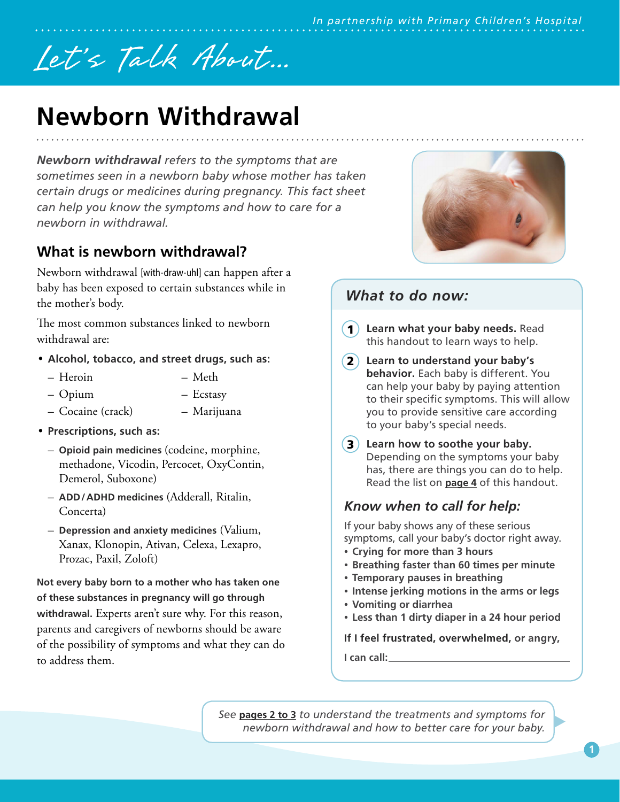# Let's Talk About...

# **Newborn Withdrawal**

*Newborn withdrawal refers to the symptoms that are sometimes seen in a newborn baby whose mother has taken certain drugs or medicines during pregnancy. This fact sheet can help you know the symptoms and how to care for a newborn in withdrawal.*

## **What is newborn withdrawal?**

Newborn withdrawal [with-draw-uhl] can happen after a baby has been exposed to certain substances while in the mother's body.

The most common substances linked to newborn withdrawal are:

- **Alcohol, tobacco, and street drugs, such as:**
	- Heroin – Meth
	- Opium – Ecstasy
	- Cocaine (crack) – Marijuana
- **Prescriptions, such as:**
	- **Opioid pain medicines** (codeine, morphine, methadone, Vicodin, Percocet, OxyContin, Demerol, Suboxone)
	- **ADD/ADHD medicines** (Adderall, Ritalin, Concerta)
	- **Depression and anxiety medicines** (Valium, Xanax, Klonopin, Ativan, Celexa, Lexapro, Prozac, Paxil, Zoloft)

**Not every baby born to a mother who has taken one of these substances in pregnancy will go through withdrawal.** Experts aren't sure why. For this reason, parents and caregivers of newborns should be aware of the possibility of symptoms and what they can do to address them.



# *What to do now:*

- **Learn what your baby needs.** Read this handout to learn ways to help.  $(1)$
- **Learn to understand your baby's**  2 **behavior.** Each baby is different. You can help your baby by paying attention to their specific symptoms. This will allow you to provide sensitive care according to your baby's special needs.
- **3**) Learn how to soothe your baby. Depending on the symptoms your baby has, there are things you can do to help. Read the list on **page 4** of this handout.

#### *Know when to call for help:*

If your baby shows any of these serious symptoms, call your baby's doctor right away.

- **Crying for more than 3 hours**
- **Breathing faster than 60 times per minute**
- **Temporary pauses in breathing**
- **Intense jerking motions in the arms or legs**
- **Vomiting or diarrhea**
- **Less than 1 dirty diaper in a 24 hour period**

**If I feel frustrated, overwhelmed, or angry,**

**I can call:**

*See* **pages 2 to 3** *to understand the treatments and symptoms for newborn withdrawal and how to better care for your baby.*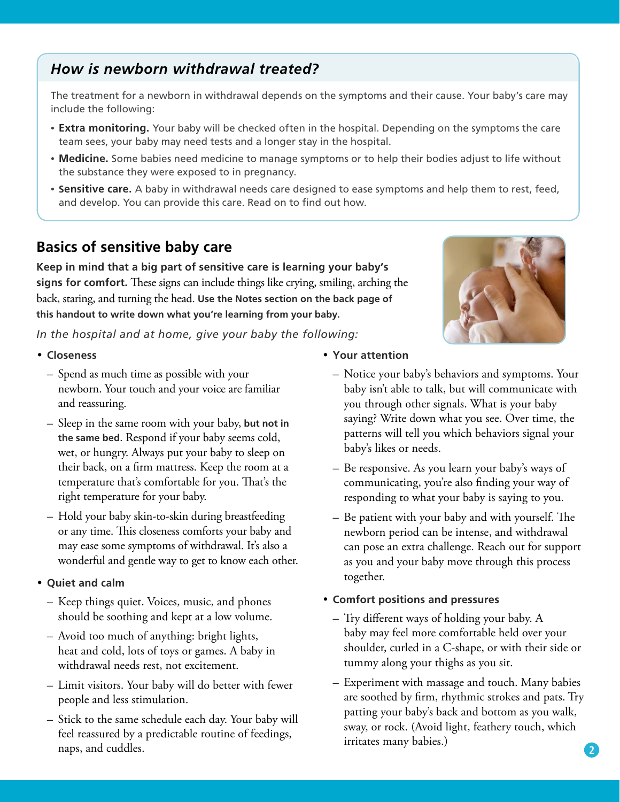#### **2**

#### *How is newborn withdrawal treated?*

The treatment for a newborn in withdrawal depends on the symptoms and their cause. Your baby's care may include the following:

- **Extra monitoring.** Your baby will be checked often in the hospital. Depending on the symptoms the care team sees, your baby may need tests and a longer stay in the hospital.
- **Medicine.** Some babies need medicine to manage symptoms or to help their bodies adjust to life without the substance they were exposed to in pregnancy.
- **Sensitive care.** A baby in withdrawal needs care designed to ease symptoms and help them to rest, feed, and develop. You can provide this care. Read on to find out how.

#### **Basics of sensitive baby care**

**Keep in mind that a big part of sensitive care is learning your baby's signs for comfort.** These signs can include things like crying, smiling, arching the back, staring, and turning the head. **Use the Notes section on the back page of this handout to write down what you're learning from your baby.** 

*In the hospital and at home, give your baby the following:*

- **Closeness** 
	- Spend as much time as possible with your newborn. Your touch and your voice are familiar and reassuring.
	- Sleep in the same room with your baby, **but not in the same bed**. Respond if your baby seems cold, wet, or hungry. Always put your baby to sleep on their back, on a firm mattress. Keep the room at a temperature that's comfortable for you. That's the right temperature for your baby.
	- Hold your baby skin-to-skin during breastfeeding or any time. This closeness comforts your baby and may ease some symptoms of withdrawal. It's also a wonderful and gentle way to get to know each other.
- **Quiet and calm**
	- Keep things quiet. Voices, music, and phones should be soothing and kept at a low volume.
	- Avoid too much of anything: bright lights, heat and cold, lots of toys or games. A baby in withdrawal needs rest, not excitement.
	- Limit visitors. Your baby will do better with fewer people and less stimulation.
	- Stick to the same schedule each day. Your baby will feel reassured by a predictable routine of feedings, naps, and cuddles.
- **Your attention**
	- Notice your baby's behaviors and symptoms. Your baby isn't able to talk, but will communicate with you through other signals. What is your baby saying? Write down what you see. Over time, the patterns will tell you which behaviors signal your baby's likes or needs.
	- Be responsive. As you learn your baby's ways of communicating, you're also finding your way of responding to what your baby is saying to you.
	- Be patient with your baby and with yourself. The newborn period can be intense, and withdrawal can pose an extra challenge. Reach out for support as you and your baby move through this process together.

#### • **Comfort positions and pressures**

- Try different ways of holding your baby. A baby may feel more comfortable held over your shoulder, curled in a C-shape, or with their side or tummy along your thighs as you sit.
- Experiment with massage and touch. Many babies are soothed by firm, rhythmic strokes and pats. Try patting your baby's back and bottom as you walk, sway, or rock. (Avoid light, feathery touch, which irritates many babies.)

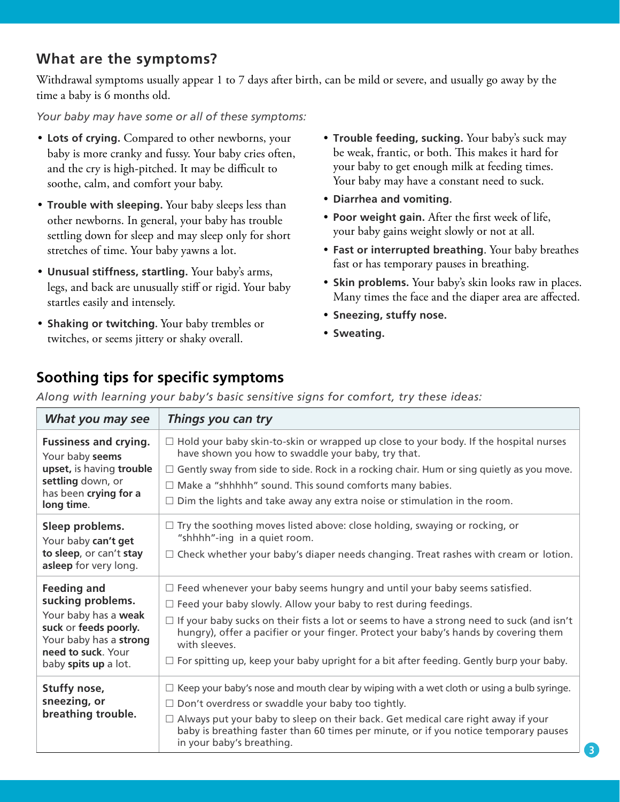#### **What are the symptoms?**

Withdrawal symptoms usually appear 1 to 7 days after birth, can be mild or severe, and usually go away by the time a baby is 6 months old.

*Your baby may have some or all of these symptoms:*

- **Lots of crying.** Compared to other newborns, your baby is more cranky and fussy. Your baby cries often, and the cry is high-pitched. It may be difficult to soothe, calm, and comfort your baby.
- **Trouble with sleeping.** Your baby sleeps less than other newborns. In general, your baby has trouble settling down for sleep and may sleep only for short stretches of time. Your baby yawns a lot.
- **Unusual stiffness, startling.** Your baby's arms, legs, and back are unusually stiff or rigid. Your baby startles easily and intensely.
- **Shaking or twitching.** Your baby trembles or twitches, or seems jittery or shaky overall.
- **Trouble feeding, sucking.** Your baby's suck may be weak, frantic, or both. This makes it hard for your baby to get enough milk at feeding times. Your baby may have a constant need to suck.
- **Diarrhea and vomiting.**
- **Poor weight gain.** After the first week of life, your baby gains weight slowly or not at all.
- **Fast or interrupted breathing**. Your baby breathes fast or has temporary pauses in breathing.
- **Skin problems.** Your baby's skin looks raw in places. Many times the face and the diaper area are affected.
- **Sneezing, stuffy nose.**
- **Sweating.**

## **Soothing tips for specific symptoms**

*Along with learning your baby's basic sensitive signs for comfort, try these ideas:*

| What you may see                                                                                                                                                 | Things you can try                                                                                                                                                                                                                                                                                                                                                                                                                                                        |
|------------------------------------------------------------------------------------------------------------------------------------------------------------------|---------------------------------------------------------------------------------------------------------------------------------------------------------------------------------------------------------------------------------------------------------------------------------------------------------------------------------------------------------------------------------------------------------------------------------------------------------------------------|
| <b>Fussiness and crying.</b><br>Your baby seems<br>upset, is having trouble<br>settling down, or<br>has been crying for a<br>long time.                          | $\Box$ Hold your baby skin-to-skin or wrapped up close to your body. If the hospital nurses<br>have shown you how to swaddle your baby, try that.<br>$\Box$ Gently sway from side to side. Rock in a rocking chair. Hum or sing quietly as you move.<br>$\Box$ Make a "shhhhh" sound. This sound comforts many babies.<br>$\Box$ Dim the lights and take away any extra noise or stimulation in the room.                                                                 |
| Sleep problems.<br>Your baby can't get<br>to sleep, or can't stay<br>asleep for very long.                                                                       | $\Box$ Try the soothing moves listed above: close holding, swaying or rocking, or<br>"shhhh"-ing in a quiet room.<br>$\Box$ Check whether your baby's diaper needs changing. Treat rashes with cream or lotion.                                                                                                                                                                                                                                                           |
| <b>Feeding and</b><br>sucking problems.<br>Your baby has a weak<br>suck or feeds poorly.<br>Your baby has a strong<br>need to suck. Your<br>baby spits up a lot. | $\Box$ Feed whenever your baby seems hungry and until your baby seems satisfied.<br>$\Box$ Feed your baby slowly. Allow your baby to rest during feedings.<br>$\Box$ If your baby sucks on their fists a lot or seems to have a strong need to suck (and isn't<br>hungry), offer a pacifier or your finger. Protect your baby's hands by covering them<br>with sleeves.<br>$\Box$ For spitting up, keep your baby upright for a bit after feeding. Gently burp your baby. |
| Stuffy nose,<br>sneezing, or<br>breathing trouble.                                                                                                               | $\Box$ Keep your baby's nose and mouth clear by wiping with a wet cloth or using a bulb syringe.<br>$\Box$ Don't overdress or swaddle your baby too tightly.<br>$\Box$ Always put your baby to sleep on their back. Get medical care right away if your<br>baby is breathing faster than 60 times per minute, or if you notice temporary pauses<br>in your baby's breathing.                                                                                              |